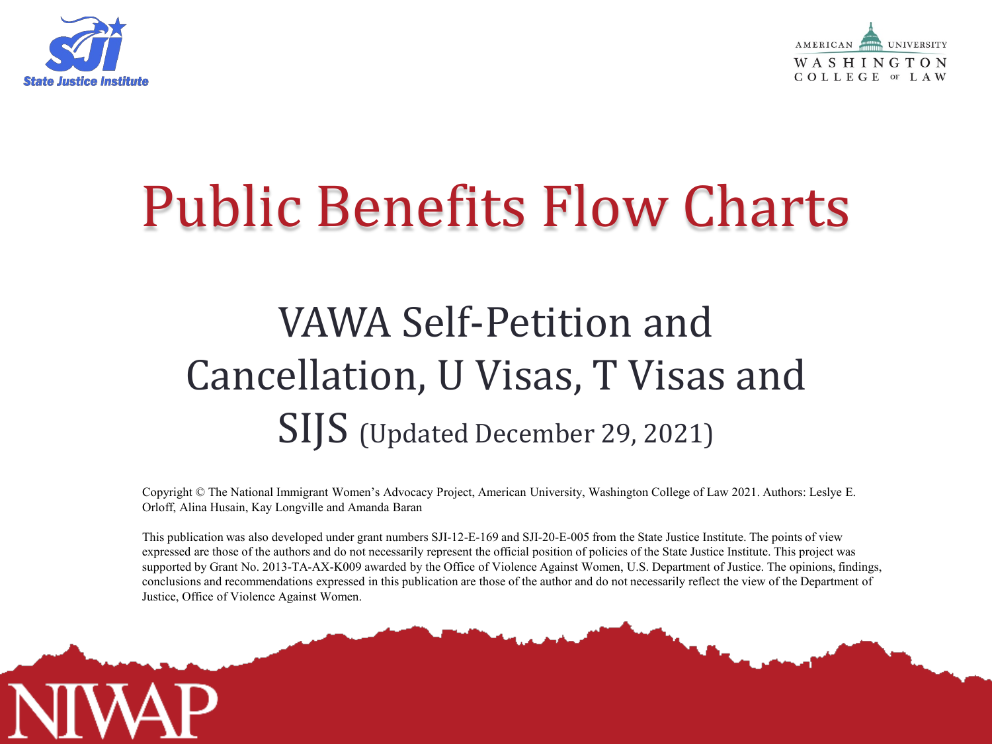



# Public Benefits Flow Charts

## VAWA Self-Petition and Cancellation, U Visas, T Visas and SIJS (Updated December 29, 2021)

Copyright © The National Immigrant Women's Advocacy Project, American University, Washington College of Law 2021. Authors: Leslye E. Orloff, Alina Husain, Kay Longville and Amanda Baran

This publication was also developed under grant numbers SJI-12-E-169 and SJI-20-E-005 from the State Justice Institute. The points of view expressed are those of the authors and do not necessarily represent the official position of policies of the State Justice Institute. This project was supported by Grant No. 2013-TA-AX-K009 awarded by the Office of Violence Against Women, U.S. Department of Justice. The opinions, findings, conclusions and recommendations expressed in this publication are those of the author and do not necessarily reflect the view of the Department of Justice, Office of Violence Against Women.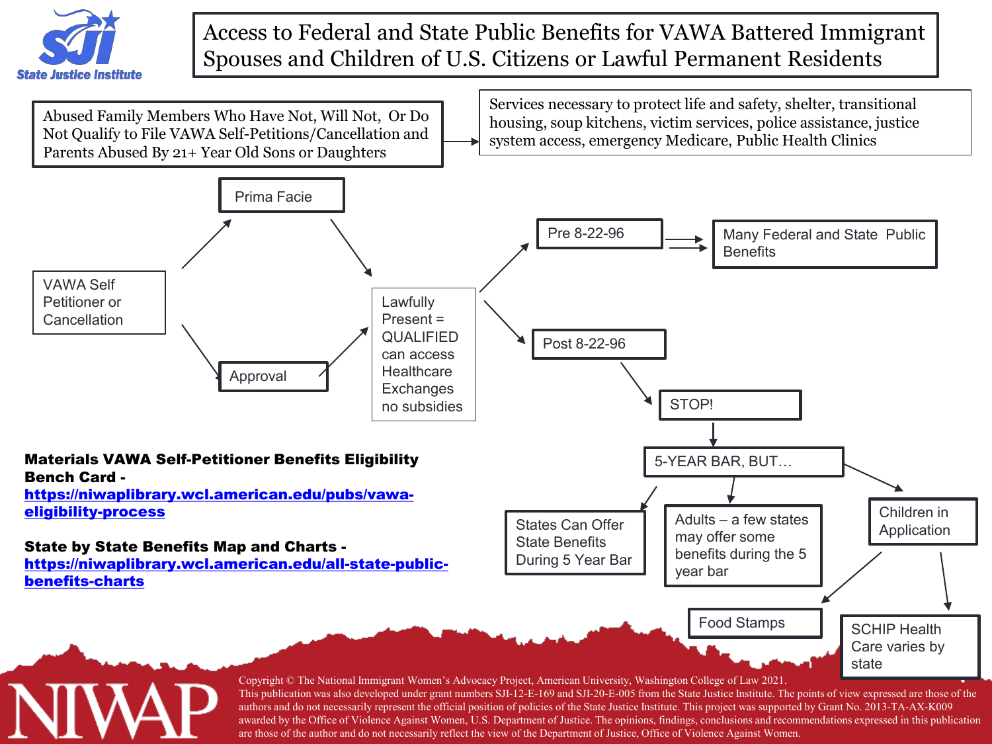

#### Access to Federal and State Public Benefits for VAWA Battered Immigrant Spouses and Children of U.S. Citizens or Lawful Permanent Residents



are those of the author and do not necessarily reflect the view of the Department of Justice, Office of Violence Against Women.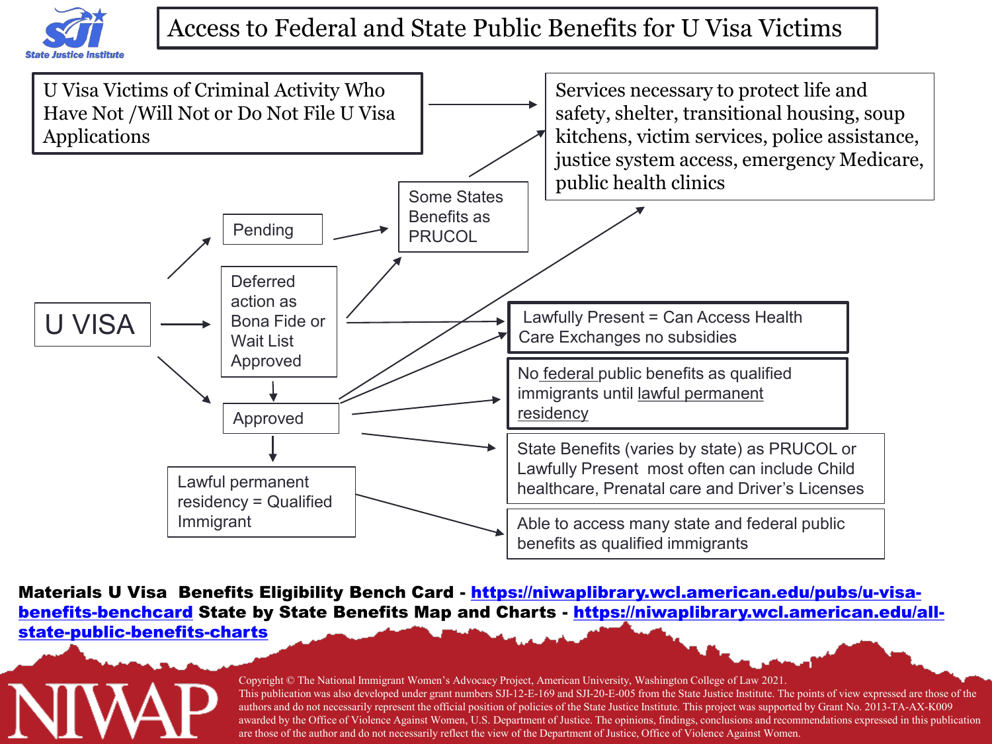

### Access to Federal and State Public Benefits for U Visa Victims



Materials U Visa Benefits Eligibility Bench Card - [https://niwaplibrary.wcl.american.edu/pubs/u-visa](https://niwaplibrary.wcl.american.edu/pubs/u-visa-benefits-benchcard)benefits-benchcard State by State Benefits Map and Charts - [https://niwaplibrary.wcl.american.edu/all](https://niwaplibrary.wcl.american.edu/all-state-public-benefits-charts)state-public-benefits-charts

#### Copyright © The National Immigrant Women's Advocacy Project, American University, Washington College of Law 2021. This publication was also developed under grant numbers SJI-12-E-169 and SJI-20-E-005 from the State Justice Institute. The points of view expressed are those of the authors and do not necessarily represent the official position of policies of the State Justice Institute. This project was supported by Grant No. 2013-TA-AX-K009 awarded by the Office of Violence Against Women, U.S. Department of Justice. The opinions, findings, conclusions and recommendations expressed in this publication are those of the author and do not necessarily reflect the view of the Department of Justice, Office of Violence Against Women.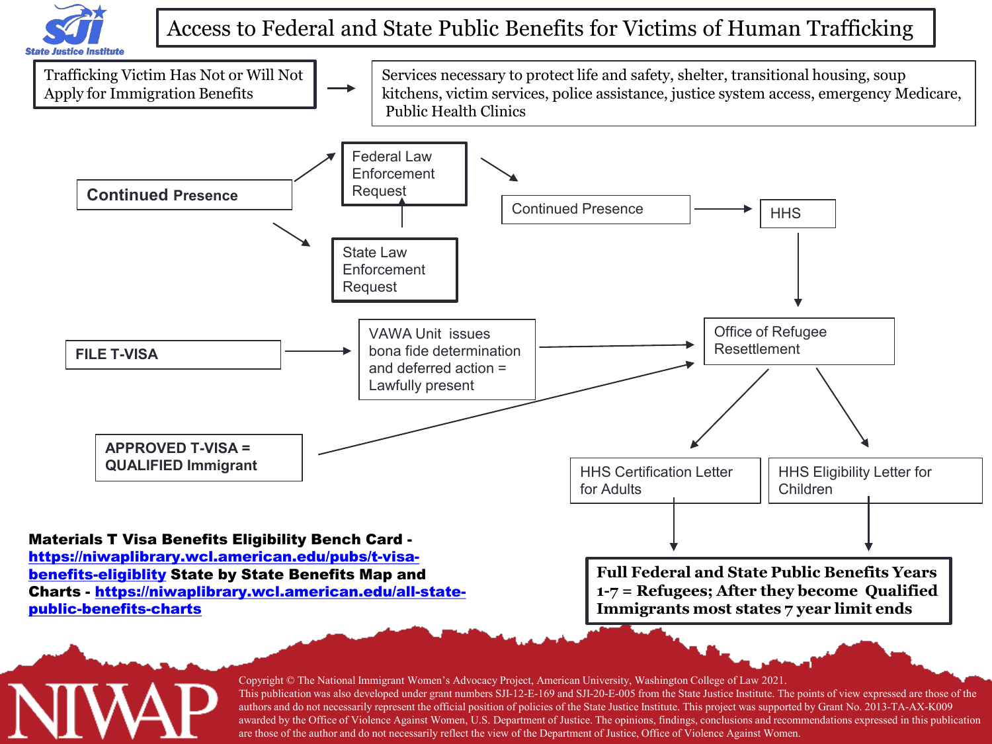